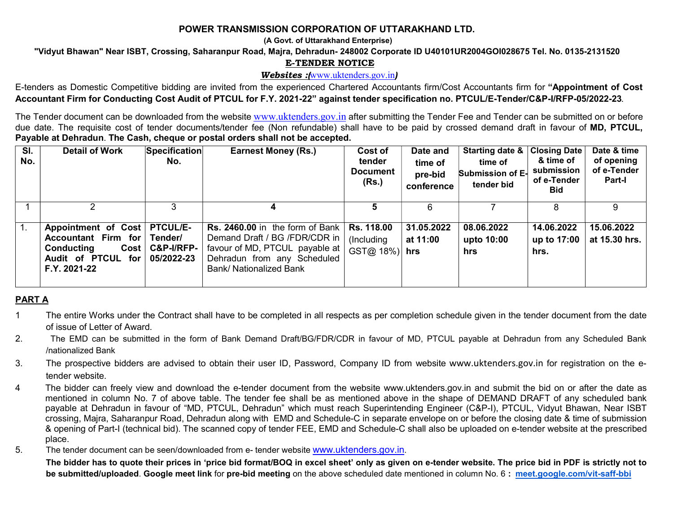### POWER TRANSMISSION CORPORATION OF UTTARAKHAND LTD.

(A Govt. of Uttarakhand Enterprise)

"Vidyut Bhawan" Near ISBT, Crossing, Saharanpur Road, Majra, Dehradun- 248002 Corporate ID U40101UR2004GOI028675 Tel. No. 0135-2131520

#### E-TENDER NOTICE

#### Websites : www.uktenders.gov.in)

E-tenders as Domestic Competitive bidding are invited from the experienced Chartered Accountants firm/Cost Accountants firm for "Appointment of Cost Accountant Firm for Conducting Cost Audit of PTCUL for F.Y. 2021-22" against tender specification no. PTCUL/E-Tender/C&P-I/RFP-05/2022-23.

The Tender document can be downloaded from the website www.uktenders.gov.in after submitting the Tender Fee and Tender can be submitted on or before due date. The requisite cost of tender documents/tender fee (Non refundable) shall have to be paid by crossed demand draft in favour of MD, PTCUL, Payable at Dehradun. The Cash, cheque or postal orders shall not be accepted.

| SI.<br>No. | <b>Detail of Work</b>                                                                                                       | Specification<br>No.            | <b>Earnest Money (Rs.)</b>                                                                                                                                     | Cost of<br>tender<br><b>Document</b><br>(Rs.) | Date and<br>time of<br>pre-bid<br>conference | Starting date &<br>time of<br>Submission of E-<br>tender bid | <b>Closing Date</b><br>& time of<br>submission<br>of e-Tender<br><b>Bid</b> | Date & time<br>of opening<br>of e-Tender<br>Part-I |
|------------|-----------------------------------------------------------------------------------------------------------------------------|---------------------------------|----------------------------------------------------------------------------------------------------------------------------------------------------------------|-----------------------------------------------|----------------------------------------------|--------------------------------------------------------------|-----------------------------------------------------------------------------|----------------------------------------------------|
|            |                                                                                                                             |                                 | 4                                                                                                                                                              |                                               |                                              |                                                              |                                                                             |                                                    |
|            | Appointment of Cost   PTCUL/E-<br>Accountant Firm for Tender/<br>Conducting<br><b>Audit of PTCUL</b><br>for<br>F.Y. 2021-22 | Cost   C&P-I/RFP-<br>05/2022-23 | Rs. 2460.00 in the form of Bank<br>Demand Draft / BG /FDR/CDR in<br>favour of MD, PTCUL payable at  <br>Dehradun from any Scheduled<br>Bank/ Nationalized Bank | <b>Rs. 118.00</b><br>(Including<br>GST@ 18%)  | 31.05.2022<br>at 11:00<br>hrs                | 08.06.2022<br>upto 10:00<br>hrs                              | 14.06.2022<br>up to 17:00<br>hrs.                                           | 15.06.2022<br>at 15.30 hrs.                        |

### PART A

- 1 The entire Works under the Contract shall have to be completed in all respects as per completion schedule given in the tender document from the date of issue of Letter of Award.
- 2. The EMD can be submitted in the form of Bank Demand Draft/BG/FDR/CDR in favour of MD, PTCUL payable at Dehradun from any Scheduled Bank /nationalized Bank
- 3. The prospective bidders are advised to obtain their user ID, Password, Company ID from website www.uktenders.gov.in for registration on the etender website.
- 4 The bidder can freely view and download the e-tender document from the website www.uktenders.gov.in and submit the bid on or after the date as mentioned in column No. 7 of above table. The tender fee shall be as mentioned above in the shape of DEMAND DRAFT of any scheduled bank payable at Dehradun in favour of "MD, PTCUL, Dehradun" which must reach Superintending Engineer (C&P-I), PTCUL, Vidyut Bhawan, Near ISBT crossing, Majra, Saharanpur Road, Dehradun along with EMD and Schedule-C in separate envelope on or before the closing date & time of submission & opening of Part-I (technical bid). The scanned copy of tender FEE, EMD and Schedule-C shall also be uploaded on e-tender website at the prescribed place.
- 5. The tender document can be seen/downloaded from e- tender website www.uktenders.gov.in.

The bidder has to quote their prices in 'price bid format/BOQ in excel sheet' only as given on e-tender website. The price bid in PDF is strictly not to be submitted/uploaded. Google meet link for pre-bid meeting on the above scheduled date mentioned in column No. 6: meet.google.com/vit-saff-bbi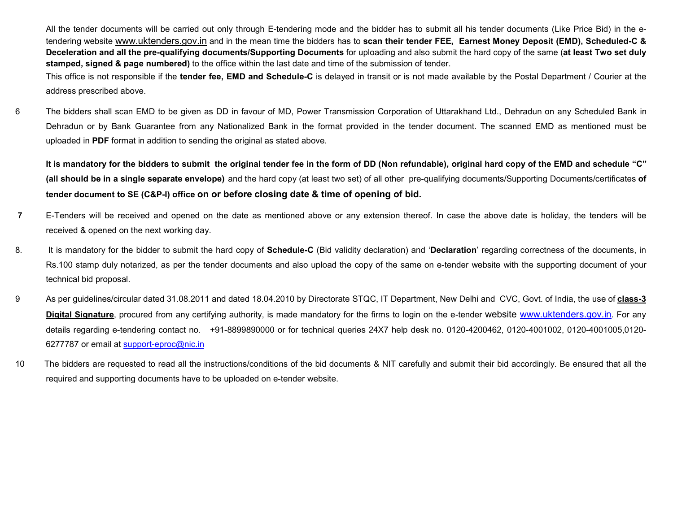All the tender documents will be carried out only through E-tendering mode and the bidder has to submit all his tender documents (Like Price Bid) in the etendering website www.uktenders.gov.in and in the mean time the bidders has to scan their tender FEE, Earnest Money Deposit (EMD), Scheduled-C & Deceleration and all the pre-qualifying documents/Supporting Documents for uploading and also submit the hard copy of the same (at least Two set duly stamped, signed & page numbered) to the office within the last date and time of the submission of tender.

This office is not responsible if the tender fee, EMD and Schedule-C is delayed in transit or is not made available by the Postal Department / Courier at the address prescribed above.

6 The bidders shall scan EMD to be given as DD in favour of MD, Power Transmission Corporation of Uttarakhand Ltd., Dehradun on any Scheduled Bank in Dehradun or by Bank Guarantee from any Nationalized Bank in the format provided in the tender document. The scanned EMD as mentioned must be uploaded in PDF format in addition to sending the original as stated above.

It is mandatory for the bidders to submit the original tender fee in the form of DD (Non refundable), original hard copy of the EMD and schedule "C" (all should be in a single separate envelope) and the hard copy (at least two set) of all other pre-qualifying documents/Supporting Documents/certificates of tender document to SE (C&P-I) office on or before closing date & time of opening of bid.

- 7 E-Tenders will be received and opened on the date as mentioned above or any extension thereof. In case the above date is holiday, the tenders will be received & opened on the next working day.
- 8. It is mandatory for the bidder to submit the hard copy of Schedule-C (Bid validity declaration) and 'Declaration' regarding correctness of the documents, in Rs.100 stamp duly notarized, as per the tender documents and also upload the copy of the same on e-tender website with the supporting document of your technical bid proposal.
- 9 As per guidelines/circular dated 31.08.2011 and dated 18.04.2010 by Directorate STQC, IT Department, New Delhi and CVC, Govt. of India, the use of class-3 Digital Signature, procured from any certifying authority, is made mandatory for the firms to login on the e-tender website www.uktenders.gov.in. For any details regarding e-tendering contact no. +91-8899890000 or for technical queries 24X7 help desk no. 0120-4200462, 0120-4001002, 0120-4001005,0120- 6277787 or email at support-eproc@nic.in
- 10 The bidders are requested to read all the instructions/conditions of the bid documents & NIT carefully and submit their bid accordingly. Be ensured that all the required and supporting documents have to be uploaded on e-tender website.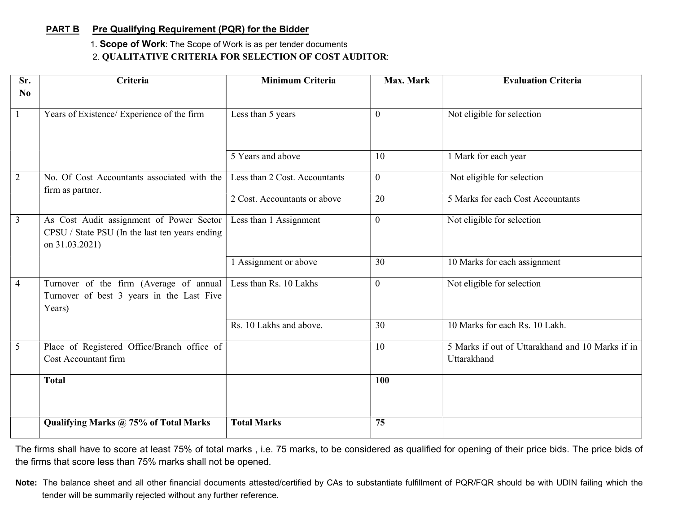# PART B Pre Qualifying Requirement (PQR) for the Bidder

1. Scope of Work: The Scope of Work is as per tender documents

# 2. QUALITATIVE CRITERIA FOR SELECTION OF COST AUDITOR:

| Sr.<br>N <sub>0</sub> | Criteria                                                                                                     | <b>Minimum Criteria</b>       | Max. Mark      | <b>Evaluation Criteria</b>                                      |
|-----------------------|--------------------------------------------------------------------------------------------------------------|-------------------------------|----------------|-----------------------------------------------------------------|
| $\mathbf{1}$          | Years of Existence/ Experience of the firm                                                                   | Less than 5 years             | $\overline{0}$ | Not eligible for selection                                      |
|                       |                                                                                                              | 5 Years and above             | 10             | 1 Mark for each year                                            |
| 2                     | No. Of Cost Accountants associated with the<br>firm as partner.                                              | Less than 2 Cost. Accountants | $\overline{0}$ | Not eligible for selection                                      |
|                       |                                                                                                              | 2 Cost. Accountants or above  | 20             | 5 Marks for each Cost Accountants                               |
| $\mathfrak{Z}$        | As Cost Audit assignment of Power Sector<br>CPSU / State PSU (In the last ten years ending<br>on 31.03.2021) | Less than 1 Assignment        | $\mathbf{0}$   | Not eligible for selection                                      |
|                       |                                                                                                              | 1 Assignment or above         | 30             | 10 Marks for each assignment                                    |
| $\overline{4}$        | Turnover of the firm (Average of annual<br>Turnover of best 3 years in the Last Five<br>Years)               | Less than Rs. 10 Lakhs        | $\mathbf{0}$   | Not eligible for selection                                      |
|                       |                                                                                                              | Rs. 10 Lakhs and above.       | 30             | 10 Marks for each Rs. 10 Lakh.                                  |
| $5\overline{)}$       | Place of Registered Office/Branch office of<br>Cost Accountant firm                                          |                               | 10             | 5 Marks if out of Uttarakhand and 10 Marks if in<br>Uttarakhand |
|                       | <b>Total</b>                                                                                                 |                               | 100            |                                                                 |
|                       | Qualifying Marks @ 75% of Total Marks                                                                        | <b>Total Marks</b>            | 75             |                                                                 |

The firms shall have to score at least 75% of total marks , i.e. 75 marks, to be considered as qualified for opening of their price bids. The price bids of the firms that score less than 75% marks shall not be opened.

Note: The balance sheet and all other financial documents attested/certified by CAs to substantiate fulfillment of PQR/FQR should be with UDIN failing which the tender will be summarily rejected without any further reference.